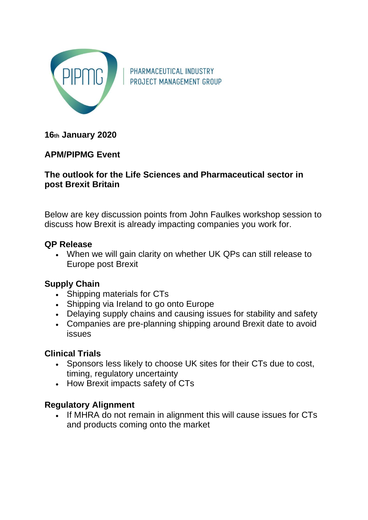

PHARMACEUTICAL INDUSTRY PROJECT MANAGEMENT GROUP

**16th January 2020**

# **APM/PIPMG Event**

#### **The outlook for the Life Sciences and Pharmaceutical sector in post Brexit Britain**

Below are key discussion points from John Faulkes workshop session to discuss how Brexit is already impacting companies you work for.

## **QP Release**

• When we will gain clarity on whether UK QPs can still release to Europe post Brexit

## **Supply Chain**

- Shipping materials for CTs
- Shipping via Ireland to go onto Europe
- Delaying supply chains and causing issues for stability and safety
- Companies are pre-planning shipping around Brexit date to avoid issues

## **Clinical Trials**

- Sponsors less likely to choose UK sites for their CTs due to cost, timing, regulatory uncertainty
- How Brexit impacts safety of CTs

## **Regulatory Alignment**

• If MHRA do not remain in alignment this will cause issues for CTs and products coming onto the market